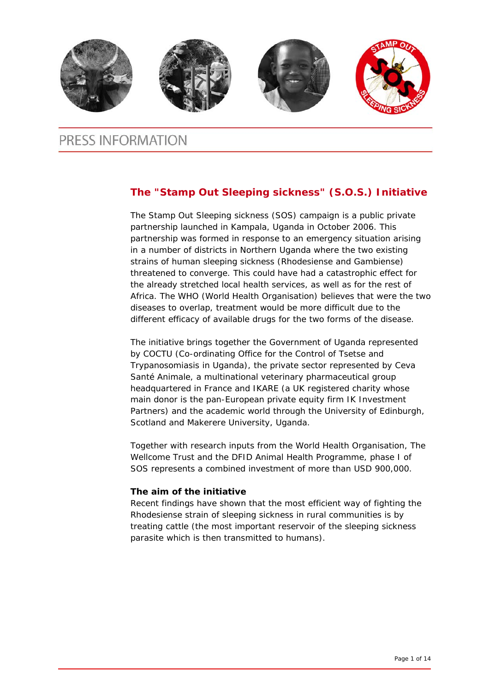

# PRESS INFORMATION

### **The "Stamp Out Sleeping sickness" (S.O.S.) Initiative**

The Stamp Out Sleeping sickness (SOS) campaign is a public private partnership launched in Kampala, Uganda in October 2006. This partnership was formed in response to an emergency situation arising in a number of districts in Northern Uganda where the two existing strains of human sleeping sickness (Rhodesiense and Gambiense) threatened to converge. This could have had a catastrophic effect for the already stretched local health services, as well as for the rest of Africa. The WHO (World Health Organisation) believes that were the two diseases to overlap, treatment would be more difficult due to the different efficacy of available drugs for the two forms of the disease.

The initiative brings together the Government of Uganda represented by COCTU (Co-ordinating Office for the Control of Tsetse and Trypanosomiasis in Uganda), the private sector represented by Ceva Santé Animale, a multinational veterinary pharmaceutical group headquartered in France and IKARE (a UK registered charity whose main donor is the pan-European private equity firm IK Investment Partners) and the academic world through the University of Edinburgh, Scotland and Makerere University, Uganda.

Together with research inputs from the World Health Organisation, The Wellcome Trust and the DFID Animal Health Programme, phase I of SOS represents a combined investment of more than USD 900,000.

### **The aim of the initiative**

Recent findings have shown that the most efficient way of fighting the Rhodesiense strain of sleeping sickness in rural communities is by treating cattle (the most important reservoir of the sleeping sickness parasite which is then transmitted to humans).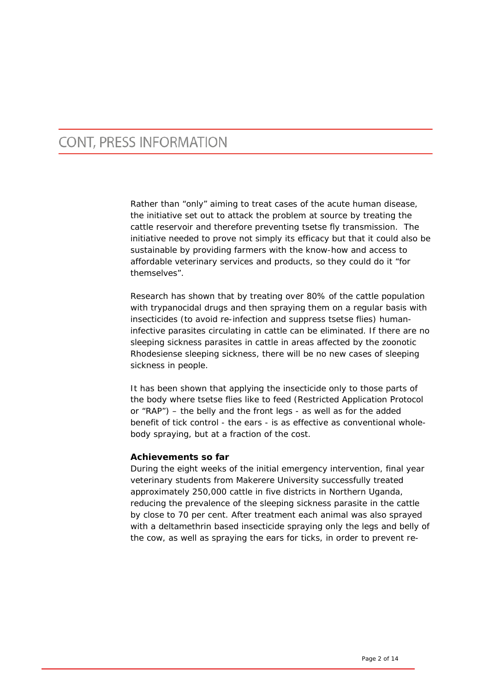Rather than "only" aiming to treat cases of the acute human disease, the initiative set out to attack the problem at source by treating the cattle reservoir and therefore preventing tsetse fly transmission. The initiative needed to prove not simply its efficacy but that it could also be sustainable by providing farmers with the know-how and access to affordable veterinary services and products, so they could do it "for themselves".

Research has shown that by treating over 80% of the cattle population with trypanocidal drugs and then spraying them on a regular basis with insecticides (to avoid re-infection and suppress tsetse flies) humaninfective parasites circulating in cattle can be eliminated. If there are no sleeping sickness parasites in cattle in areas affected by the zoonotic Rhodesiense sleeping sickness, there will be no new cases of sleeping sickness in people.

It has been shown that applying the insecticide only to those parts of the body where tsetse flies like to feed (Restricted Application Protocol or "RAP") – the belly and the front legs - as well as for the added benefit of tick control - the ears - is as effective as conventional wholebody spraying, but at a fraction of the cost.

#### **Achievements so far**

During the eight weeks of the initial emergency intervention, final year veterinary students from Makerere University successfully treated approximately 250,000 cattle in five districts in Northern Uganda, reducing the prevalence of the sleeping sickness parasite in the cattle by close to 70 per cent. After treatment each animal was also sprayed with a deltamethrin based insecticide spraying only the legs and belly of the cow, as well as spraying the ears for ticks, in order to prevent re-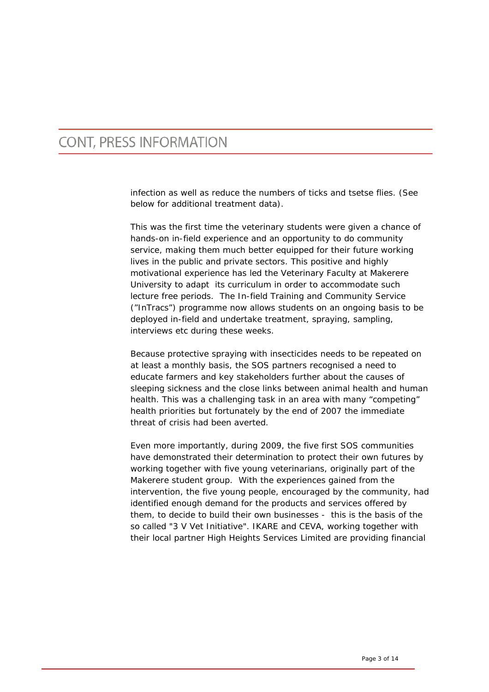infection as well as reduce the numbers of ticks and tsetse flies. (See below for additional treatment data).

This was the first time the veterinary students were given a chance of hands-on in-field experience and an opportunity to do community service, making them much better equipped for their future working lives in the public and private sectors. This positive and highly motivational experience has led the Veterinary Faculty at Makerere University to adapt its curriculum in order to accommodate such lecture free periods. The In-field Training and Community Service ("InTracs") programme now allows students on an ongoing basis to be deployed in-field and undertake treatment, spraying, sampling, interviews etc during these weeks.

Because protective spraying with insecticides needs to be repeated on at least a monthly basis, the SOS partners recognised a need to educate farmers and key stakeholders further about the causes of sleeping sickness and the close links between animal health and human health. This was a challenging task in an area with many "competing" health priorities but fortunately by the end of 2007 the immediate threat of crisis had been averted.

Even more importantly, during 2009, the five first SOS communities have demonstrated their determination to protect their own futures by working together with five young veterinarians, originally part of the Makerere student group. With the experiences gained from the intervention, the five young people, encouraged by the community, had identified enough demand for the products and services offered by them, to decide to build their own businesses - this is the basis of the so called "3 V Vet Initiative". IKARE and CEVA, working together with their local partner High Heights Services Limited are providing financial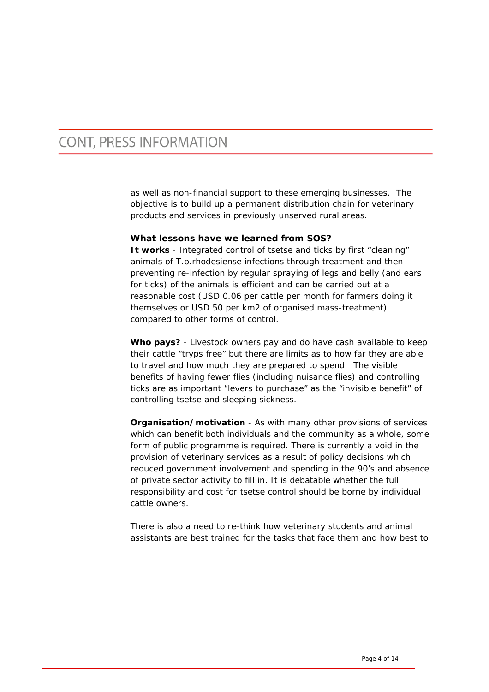as well as non-financial support to these emerging businesses. The objective is to build up a permanent distribution chain for veterinary products and services in previously unserved rural areas.

### **What lessons have we learned from SOS?**

**It works** - Integrated control of tsetse and ticks by first "cleaning" animals of *T.b.rhodesiense* infections through treatment and then preventing re-infection by regular spraying of legs and belly (and ears for ticks) of the animals is efficient and can be carried out at a reasonable cost (USD 0.06 per cattle per month for farmers doing it themselves or USD 50 per km2 of organised mass-treatment) compared to other forms of control.

**Who pays?** - Livestock owners pay and do have cash available to keep their cattle "tryps free" but there are limits as to how far they are able to travel and how much they are prepared to spend. The visible benefits of having fewer flies (including nuisance flies) and controlling ticks are as important "levers to purchase" as the "invisible benefit" of controlling tsetse and sleeping sickness.

**Organisation/motivation** - As with many other provisions of services which can benefit both individuals and the community as a whole, some form of public programme is required. There is currently a void in the provision of veterinary services as a result of policy decisions which reduced government involvement and spending in the 90's and absence of private sector activity to fill in. It is debatable whether the full responsibility and cost for tsetse control should be borne by individual cattle owners.

There is also a need to re-think how veterinary students and animal assistants are best trained for the tasks that face them and how best to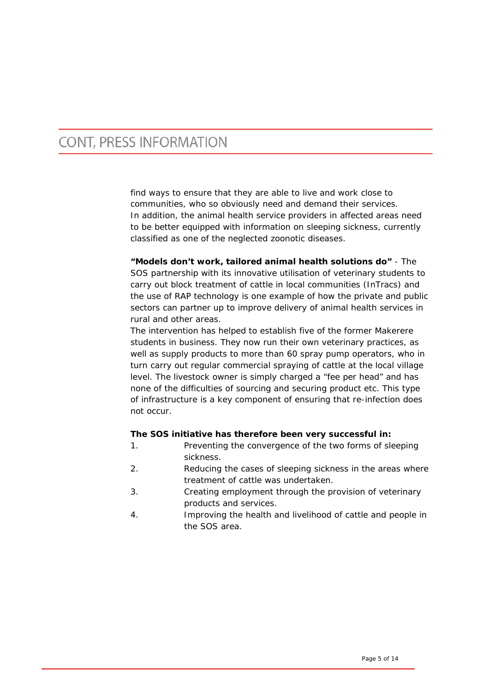find ways to ensure that they are able to live and work close to communities, who so obviously need and demand their services. In addition, the animal health service providers in affected areas need to be better equipped with information on sleeping sickness, currently classified as one of the neglected zoonotic diseases.

**"Models don't work, tailored animal health solutions do"** - The SOS partnership with its innovative utilisation of veterinary students to carry out block treatment of cattle in local communities (InTracs) and the use of RAP technology is one example of how the private and public sectors can partner up to improve delivery of animal health services in rural and other areas.

The intervention has helped to establish five of the former Makerere students in business. They now run their own veterinary practices, as well as supply products to more than 60 spray pump operators, who in turn carry out regular commercial spraying of cattle at the local village level. The livestock owner is simply charged a "fee per head" and has none of the difficulties of sourcing and securing product etc. This type of infrastructure is a key component of ensuring that re-infection does not occur.

#### **The SOS initiative has therefore been very successful in:**

- 1. Preventing the convergence of the two forms of sleeping sickness.
- 2. Reducing the cases of sleeping sickness in the areas where treatment of cattle was undertaken.
- 3. Creating employment through the provision of veterinary products and services.
- 4. Improving the health and livelihood of cattle and people in the SOS area.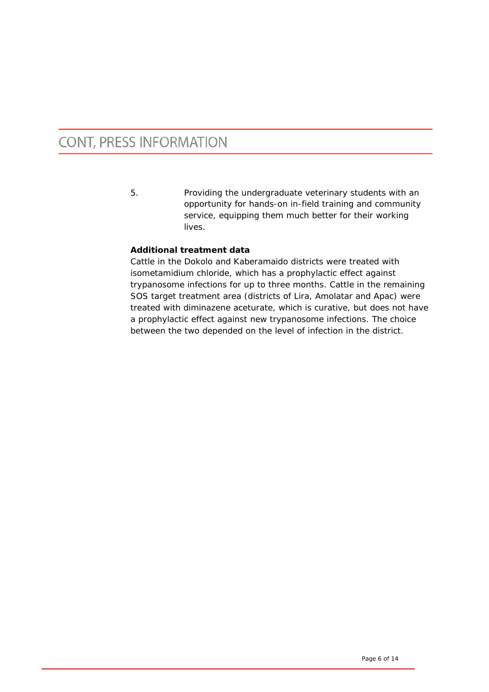5. Providing the undergraduate veterinary students with an opportunity for hands-on in-field training and community service, equipping them much better for their working lives.

### **Additional treatment data**

Cattle in the Dokolo and Kaberamaido districts were treated with isometamidium chloride, which has a prophylactic effect against trypanosome infections for up to three months. Cattle in the remaining SOS target treatment area (districts of Lira, Amolatar and Apac) were treated with diminazene aceturate, which is curative, but does not have a prophylactic effect against new trypanosome infections. The choice between the two depended on the level of infection in the district.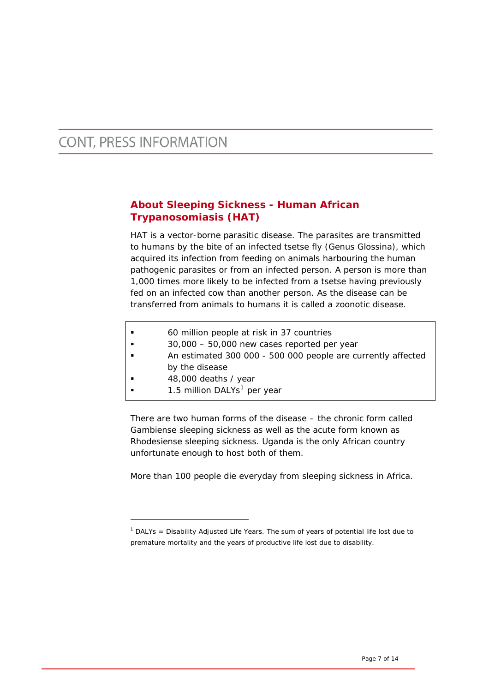1

### **About Sleeping Sickness - Human African Trypanosomiasis (HAT)**

HAT is a vector-borne parasitic disease. The parasites are transmitted to humans by the bite of an infected tsetse fly (Genus Glossina), which acquired its infection from feeding on animals harbouring the human pathogenic parasites or from an infected person. A person is more than 1,000 times more likely to be infected from a tsetse having previously fed on an infected cow than another person. As the disease can be transferred from animals to humans it is called a zoonotic disease.

- 60 million people at risk in 37 countries
- **30,000 50,000 new cases reported per year**
- An estimated 300 000 500 000 people are currently affected by the disease
- 48,000 deaths / year
- [1](#page-6-0).5 million DALYs<sup>1</sup> per year

There are two human forms of the disease – the chronic form called Gambiense sleeping sickness as well as the acute form known as Rhodesiense sleeping sickness. Uganda is the only African country unfortunate enough to host both of them.

More than 100 people die everyday from sleeping sickness in Africa.

<span id="page-6-0"></span><sup>&</sup>lt;sup>1</sup> DALYs = Disability Adjusted Life Years. The sum of years of potential life lost due to premature mortality and the years of productive life lost due to disability.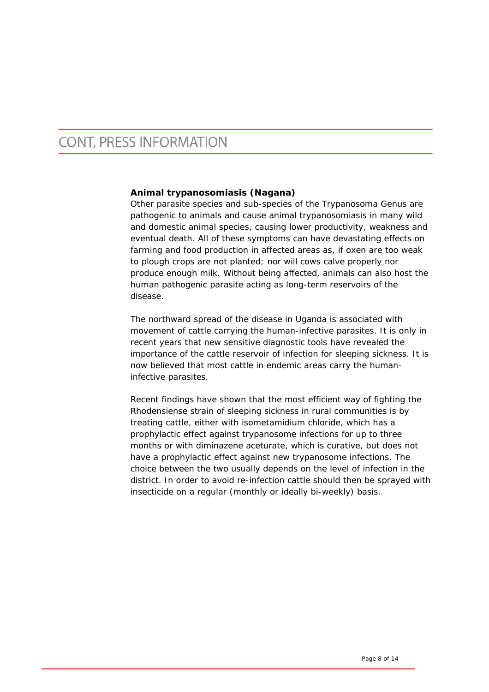### **Animal trypanosomiasis (Nagana)**

Other parasite species and sub-species of the Trypanosoma Genus are pathogenic to animals and cause animal trypanosomiasis in many wild and domestic animal species, causing lower productivity, weakness and eventual death. All of these symptoms can have devastating effects on farming and food production in affected areas as, if oxen are too weak to plough crops are not planted; nor will cows calve properly nor produce enough milk. Without being affected, animals can also host the human pathogenic parasite acting as long-term reservoirs of the disease.

The northward spread of the disease in Uganda is associated with movement of cattle carrying the human-infective parasites. It is only in recent years that new sensitive diagnostic tools have revealed the importance of the cattle reservoir of infection for sleeping sickness. It is now believed that most cattle in endemic areas carry the humaninfective parasites.

Recent findings have shown that the most efficient way of fighting the Rhodensiense strain of sleeping sickness in rural communities is by treating cattle, either with isometamidium chloride, which has a prophylactic effect against trypanosome infections for up to three months or with diminazene aceturate, which is curative, but does not have a prophylactic effect against new trypanosome infections. The choice between the two usually depends on the level of infection in the district. In order to avoid re-infection cattle should then be sprayed with insecticide on a regular (monthly or ideally bi-weekly) basis.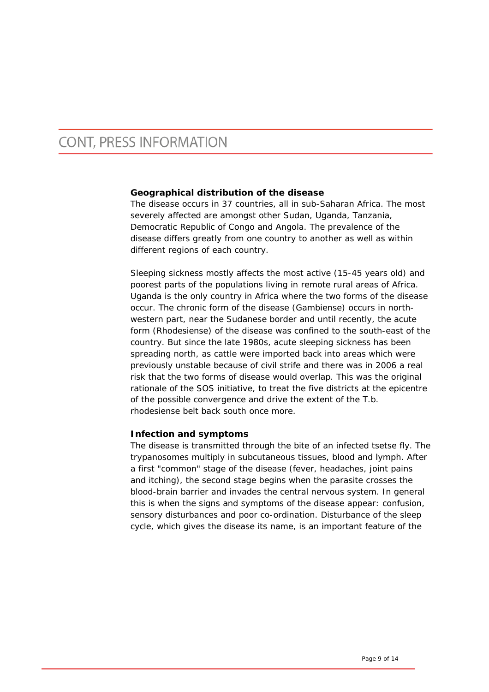### **Geographical distribution of the disease**

The disease occurs in 37 countries, all in sub-Saharan Africa. The most severely affected are amongst other Sudan, Uganda, Tanzania, Democratic Republic of Congo and Angola. The prevalence of the disease differs greatly from one country to another as well as within different regions of each country.

Sleeping sickness mostly affects the most active (15-45 years old) and poorest parts of the populations living in remote rural areas of Africa. Uganda is the only country in Africa where the two forms of the disease occur. The chronic form of the disease (Gambiense) occurs in northwestern part, near the Sudanese border and until recently, the acute form (Rhodesiense) of the disease was confined to the south-east of the country. But since the late 1980s, acute sleeping sickness has been spreading north, as cattle were imported back into areas which were previously unstable because of civil strife and there was in 2006 a real risk that the two forms of disease would overlap. This was the original rationale of the SOS initiative, to treat the five districts at the epicentre of the possible convergence and drive the extent of the *T.b. rhodesiense* belt back south once more.

#### **Infection and symptoms**

The disease is transmitted through the bite of an infected tsetse fly. The trypanosomes multiply in subcutaneous tissues, blood and lymph. After a first "common" stage of the disease (fever, headaches, joint pains and itching), the second stage begins when the parasite crosses the blood-brain barrier and invades the central nervous system. In general this is when the signs and symptoms of the disease appear: confusion, sensory disturbances and poor co-ordination. Disturbance of the sleep cycle, which gives the disease its name, is an important feature of the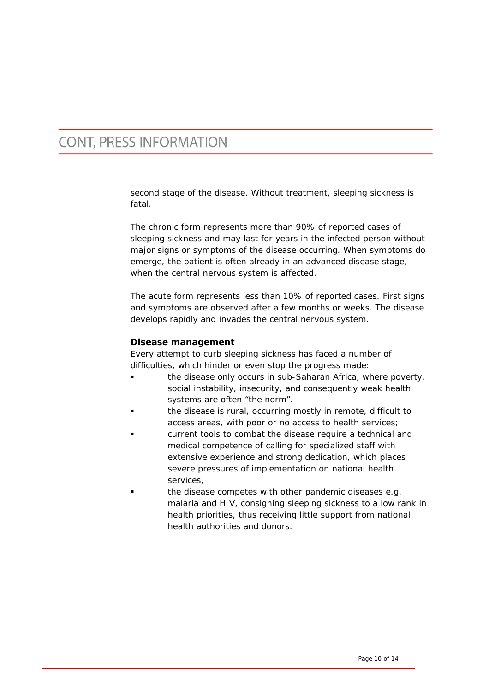second stage of the disease. Without treatment, sleeping sickness is fatal.

The chronic form represents more than 90% of reported cases of sleeping sickness and may last for years in the infected person without major signs or symptoms of the disease occurring. When symptoms do emerge, the patient is often already in an advanced disease stage, when the central nervous system is affected.

The acute form represents less than 10% of reported cases. First signs and symptoms are observed after a few months or weeks. The disease develops rapidly and invades the central nervous system.

### **Disease management**

Every attempt to curb sleeping sickness has faced a number of difficulties, which hinder or even stop the progress made:

- the disease only occurs in sub-Saharan Africa, where poverty, social instability, insecurity, and consequently weak health systems are often "the norm".
- the disease is rural, occurring mostly in remote, difficult to access areas, with poor or no access to health services;
- current tools to combat the disease require a technical and medical competence of calling for specialized staff with extensive experience and strong dedication, which places severe pressures of implementation on national health services,
- the disease competes with other pandemic diseases e.g. malaria and HIV, consigning sleeping sickness to a low rank in health priorities, thus receiving little support from national health authorities and donors.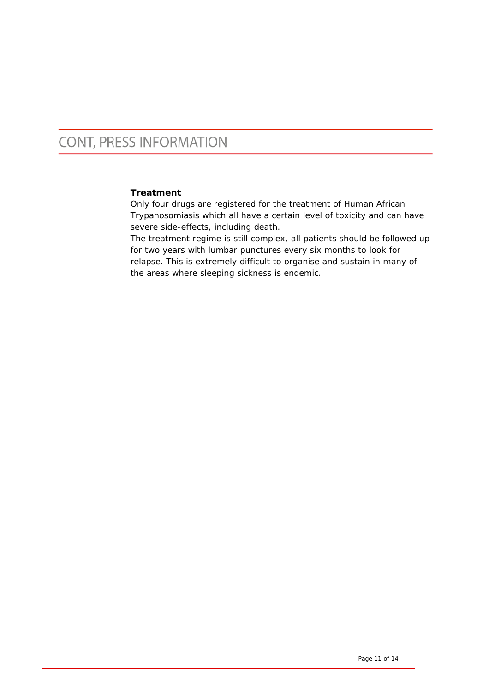### **Treatment**

Only four drugs are registered for the treatment of Human African Trypanosomiasis which all have a certain level of toxicity and can have severe side-effects, including death.

The treatment regime is still complex, all patients should be followed up for two years with lumbar punctures every six months to look for relapse. This is extremely difficult to organise and sustain in many of the areas where sleeping sickness is endemic.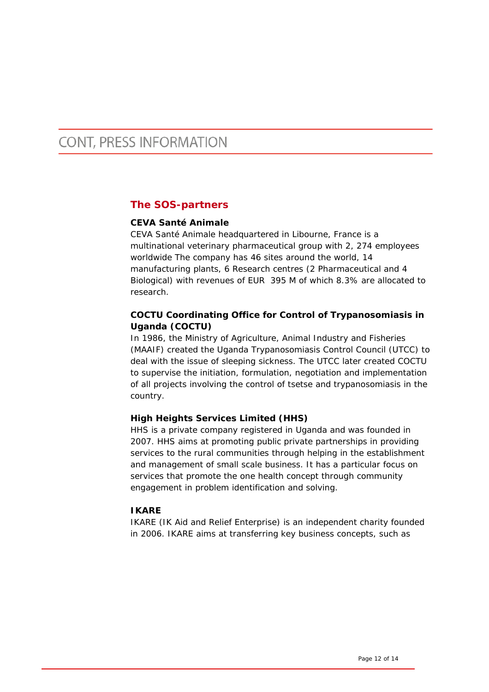### **The SOS-partners**

### **CEVA Santé Animale**

CEVA Santé Animale headquartered in Libourne, France is a multinational veterinary pharmaceutical group with 2, 274 employees worldwide The company has 46 sites around the world, 14 manufacturing plants, 6 Research centres (2 Pharmaceutical and 4 Biological) with revenues of EUR 395 M of which 8.3% are allocated to research.

### **COCTU Coordinating Office for Control of Trypanosomiasis in Uganda (COCTU)**

In 1986, the Ministry of Agriculture, Animal Industry and Fisheries (MAAIF) created the Uganda Trypanosomiasis Control Council (UTCC) to deal with the issue of sleeping sickness. The UTCC later created COCTU to supervise the initiation, formulation, negotiation and implementation of all projects involving the control of tsetse and trypanosomiasis in the country.

### **High Heights Services Limited (HHS)**

HHS is a private company registered in Uganda and was founded in 2007. HHS aims at promoting public private partnerships in providing services to the rural communities through helping in the establishment and management of small scale business. It has a particular focus on services that promote the one health concept through community engagement in problem identification and solving.

### **IKARE**

IKARE (IK Aid and Relief Enterprise) is an independent charity founded in 2006. IKARE aims at transferring key business concepts, such as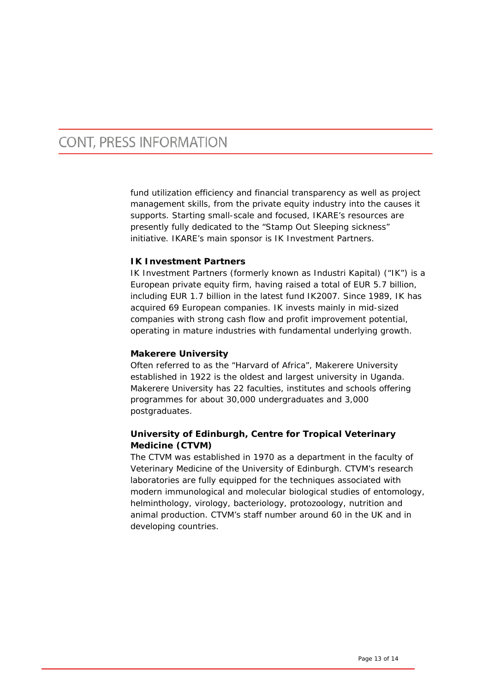fund utilization efficiency and financial transparency as well as project management skills, from the private equity industry into the causes it supports. Starting small-scale and focused, IKARE's resources are presently fully dedicated to the "Stamp Out Sleeping sickness" initiative. IKARE's main sponsor is IK Investment Partners.

#### **IK Investment Partners**

IK Investment Partners (formerly known as Industri Kapital) ("IK") is a European private equity firm, having raised a total of EUR 5.7 billion, including EUR 1.7 billion in the latest fund IK2007. Since 1989, IK has acquired 69 European companies. IK invests mainly in mid-sized companies with strong cash flow and profit improvement potential, operating in mature industries with fundamental underlying growth.

### **Makerere University**

Often referred to as the "Harvard of Africa", Makerere University established in 1922 is the oldest and largest university in Uganda. Makerere University has 22 faculties, institutes and schools offering programmes for about 30,000 undergraduates and 3,000 postgraduates.

### **University of Edinburgh, Centre for Tropical Veterinary Medicine (CTVM)**

The CTVM was established in 1970 as a department in the faculty of Veterinary Medicine of the University of Edinburgh. CTVM's research laboratories are fully equipped for the techniques associated with modern immunological and molecular biological studies of entomology, helminthology, virology, bacteriology, protozoology, nutrition and animal production. CTVM's staff number around 60 in the UK and in developing countries.